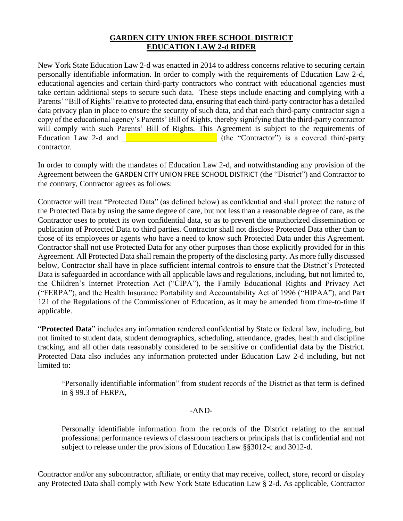## **GARDEN CITY UNION FREE SCHOOL DISTRICT EDUCATION LAW 2-d RIDER**

New York State Education Law 2-d was enacted in 2014 to address concerns relative to securing certain personally identifiable information. In order to comply with the requirements of Education Law 2-d, educational agencies and certain third-party contractors who contract with educational agencies must take certain additional steps to secure such data. These steps include enacting and complying with a Parents' "Bill of Rights" relative to protected data, ensuring that each third-party contractor has a detailed data privacy plan in place to ensure the security of such data, and that each third-party contractor sign a copy of the educational agency's Parents' Bill of Rights, thereby signifying that the third-party contractor will comply with such Parents' Bill of Rights. This Agreement is subject to the requirements of Education Law 2-d and  $\blacksquare$ contractor.

In order to comply with the mandates of Education Law 2-d, and notwithstanding any provision of the Agreement between the GARDEN CITY UNION FREE SCHOOL DISTRICT (the "District") and Contractor to the contrary, Contractor agrees as follows:

Contractor will treat "Protected Data" (as defined below) as confidential and shall protect the nature of the Protected Data by using the same degree of care, but not less than a reasonable degree of care, as the Contractor uses to protect its own confidential data, so as to prevent the unauthorized dissemination or publication of Protected Data to third parties. Contractor shall not disclose Protected Data other than to those of its employees or agents who have a need to know such Protected Data under this Agreement. Contractor shall not use Protected Data for any other purposes than those explicitly provided for in this Agreement. All Protected Data shall remain the property of the disclosing party. As more fully discussed below, Contractor shall have in place sufficient internal controls to ensure that the District's Protected Data is safeguarded in accordance with all applicable laws and regulations, including, but not limited to, the Children's Internet Protection Act ("CIPA"), the Family Educational Rights and Privacy Act ("FERPA"), and the Health Insurance Portability and Accountability Act of 1996 ("HIPAA"), and Part 121 of the Regulations of the Commissioner of Education, as it may be amended from time-to-time if applicable.

"**Protected Data**" includes any information rendered confidential by State or federal law, including, but not limited to student data, student demographics, scheduling, attendance, grades, health and discipline tracking, and all other data reasonably considered to be sensitive or confidential data by the District. Protected Data also includes any information protected under Education Law 2-d including, but not limited to:

"Personally identifiable information" from student records of the District as that term is defined in § 99.3 of FERPA,

## -AND-

Personally identifiable information from the records of the District relating to the annual professional performance reviews of classroom teachers or principals that is confidential and not subject to release under the provisions of Education Law §§3012-c and 3012-d.

Contractor and/or any subcontractor, affiliate, or entity that may receive, collect, store, record or display any Protected Data shall comply with New York State Education Law § 2-d. As applicable, Contractor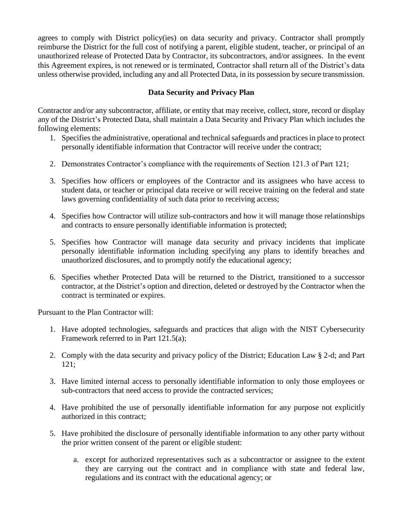agrees to comply with District policy(ies) on data security and privacy. Contractor shall promptly reimburse the District for the full cost of notifying a parent, eligible student, teacher, or principal of an unauthorized release of Protected Data by Contractor, its subcontractors, and/or assignees. In the event this Agreement expires, is not renewed or is terminated, Contractor shall return all of the District's data unless otherwise provided, including any and all Protected Data, in its possession by secure transmission.

## **Data Security and Privacy Plan**

Contractor and/or any subcontractor, affiliate, or entity that may receive, collect, store, record or display any of the District's Protected Data, shall maintain a Data Security and Privacy Plan which includes the following elements:

- 1. Specifies the administrative, operational and technical safeguards and practices in place to protect personally identifiable information that Contractor will receive under the contract;
- 2. Demonstrates Contractor's compliance with the requirements of Section 121.3 of Part 121;
- 3. Specifies how officers or employees of the Contractor and its assignees who have access to student data, or teacher or principal data receive or will receive training on the federal and state laws governing confidentiality of such data prior to receiving access;
- 4. Specifies how Contractor will utilize sub-contractors and how it will manage those relationships and contracts to ensure personally identifiable information is protected;
- 5. Specifies how Contractor will manage data security and privacy incidents that implicate personally identifiable information including specifying any plans to identify breaches and unauthorized disclosures, and to promptly notify the educational agency;
- 6. Specifies whether Protected Data will be returned to the District, transitioned to a successor contractor, at the District's option and direction, deleted or destroyed by the Contractor when the contract is terminated or expires.

Pursuant to the Plan Contractor will:

- 1. Have adopted technologies, safeguards and practices that align with the NIST Cybersecurity Framework referred to in Part 121.5(a);
- 2. Comply with the data security and privacy policy of the District; Education Law § 2-d; and Part 121;
- 3. Have limited internal access to personally identifiable information to only those employees or sub-contractors that need access to provide the contracted services;
- 4. Have prohibited the use of personally identifiable information for any purpose not explicitly authorized in this contract;
- 5. Have prohibited the disclosure of personally identifiable information to any other party without the prior written consent of the parent or eligible student:
	- a. except for authorized representatives such as a subcontractor or assignee to the extent they are carrying out the contract and in compliance with state and federal law, regulations and its contract with the educational agency; or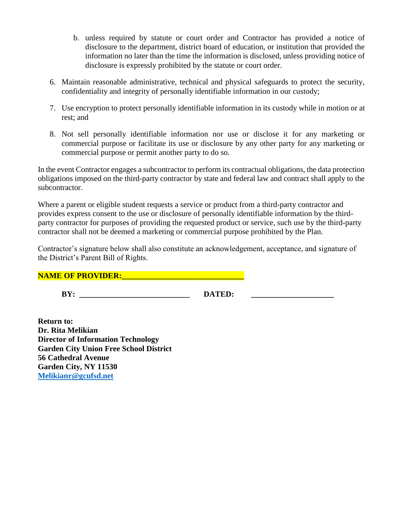- b. unless required by statute or court order and Contractor has provided a notice of disclosure to the department, district board of education, or institution that provided the information no later than the time the information is disclosed, unless providing notice of disclosure is expressly prohibited by the statute or court order.
- 6. Maintain reasonable administrative, technical and physical safeguards to protect the security, confidentiality and integrity of personally identifiable information in our custody;
- 7. Use encryption to protect personally identifiable information in its custody while in motion or at rest; and
- 8. Not sell personally identifiable information nor use or disclose it for any marketing or commercial purpose or facilitate its use or disclosure by any other party for any marketing or commercial purpose or permit another party to do so.

In the event Contractor engages a subcontractor to perform its contractual obligations, the data protection obligations imposed on the third-party contractor by state and federal law and contract shall apply to the subcontractor.

Where a parent or eligible student requests a service or product from a third-party contractor and provides express consent to the use or disclosure of personally identifiable information by the thirdparty contractor for purposes of providing the requested product or service, such use by the third-party contractor shall not be deemed a marketing or commercial purpose prohibited by the Plan.

Contractor's signature below shall also constitute an acknowledgement, acceptance, and signature of the District's Parent Bill of Rights.

**NAME OF PROVIDER:** *WAME* 

BY: DATED:

**Return to: Dr. Rita Melikian Director of Information Technology Garden City Union Free School District 56 Cathedral Avenue Garden City, NY 11530 [Melikianr@gcufsd.net](mailto:Melikianr@gcufsd.net)**